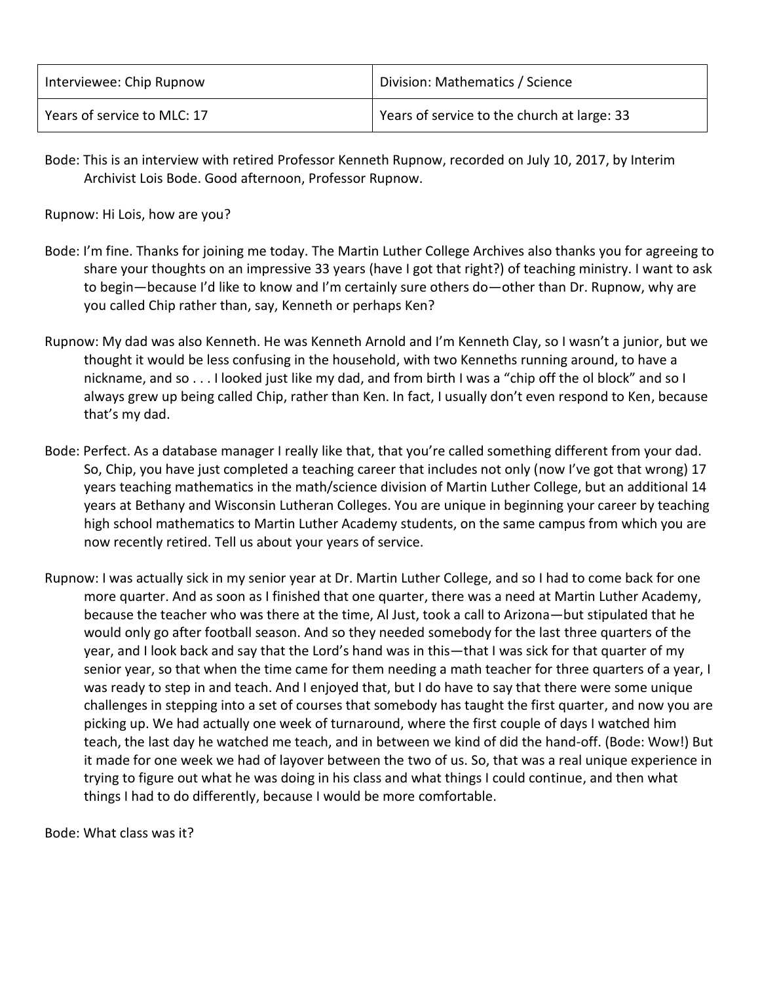| Interviewee: Chip Rupnow    | Division: Mathematics / Science             |
|-----------------------------|---------------------------------------------|
| Years of service to MLC: 17 | Years of service to the church at large: 33 |

Bode: This is an interview with retired Professor Kenneth Rupnow, recorded on July 10, 2017, by Interim Archivist Lois Bode. Good afternoon, Professor Rupnow.

Rupnow: Hi Lois, how are you?

- Bode: I'm fine. Thanks for joining me today. The Martin Luther College Archives also thanks you for agreeing to share your thoughts on an impressive 33 years (have I got that right?) of teaching ministry. I want to ask to begin—because I'd like to know and I'm certainly sure others do—other than Dr. Rupnow, why are you called Chip rather than, say, Kenneth or perhaps Ken?
- Rupnow: My dad was also Kenneth. He was Kenneth Arnold and I'm Kenneth Clay, so I wasn't a junior, but we thought it would be less confusing in the household, with two Kenneths running around, to have a nickname, and so . . . I looked just like my dad, and from birth I was a "chip off the ol block" and so I always grew up being called Chip, rather than Ken. In fact, I usually don't even respond to Ken, because that's my dad.
- Bode: Perfect. As a database manager I really like that, that you're called something different from your dad. So, Chip, you have just completed a teaching career that includes not only (now I've got that wrong) 17 years teaching mathematics in the math/science division of Martin Luther College, but an additional 14 years at Bethany and Wisconsin Lutheran Colleges. You are unique in beginning your career by teaching high school mathematics to Martin Luther Academy students, on the same campus from which you are now recently retired. Tell us about your years of service.
- Rupnow: I was actually sick in my senior year at Dr. Martin Luther College, and so I had to come back for one more quarter. And as soon as I finished that one quarter, there was a need at Martin Luther Academy, because the teacher who was there at the time, Al Just, took a call to Arizona—but stipulated that he would only go after football season. And so they needed somebody for the last three quarters of the year, and I look back and say that the Lord's hand was in this—that I was sick for that quarter of my senior year, so that when the time came for them needing a math teacher for three quarters of a year, I was ready to step in and teach. And I enjoyed that, but I do have to say that there were some unique challenges in stepping into a set of courses that somebody has taught the first quarter, and now you are picking up. We had actually one week of turnaround, where the first couple of days I watched him teach, the last day he watched me teach, and in between we kind of did the hand-off. (Bode: Wow!) But it made for one week we had of layover between the two of us. So, that was a real unique experience in trying to figure out what he was doing in his class and what things I could continue, and then what things I had to do differently, because I would be more comfortable.

Bode: What class was it?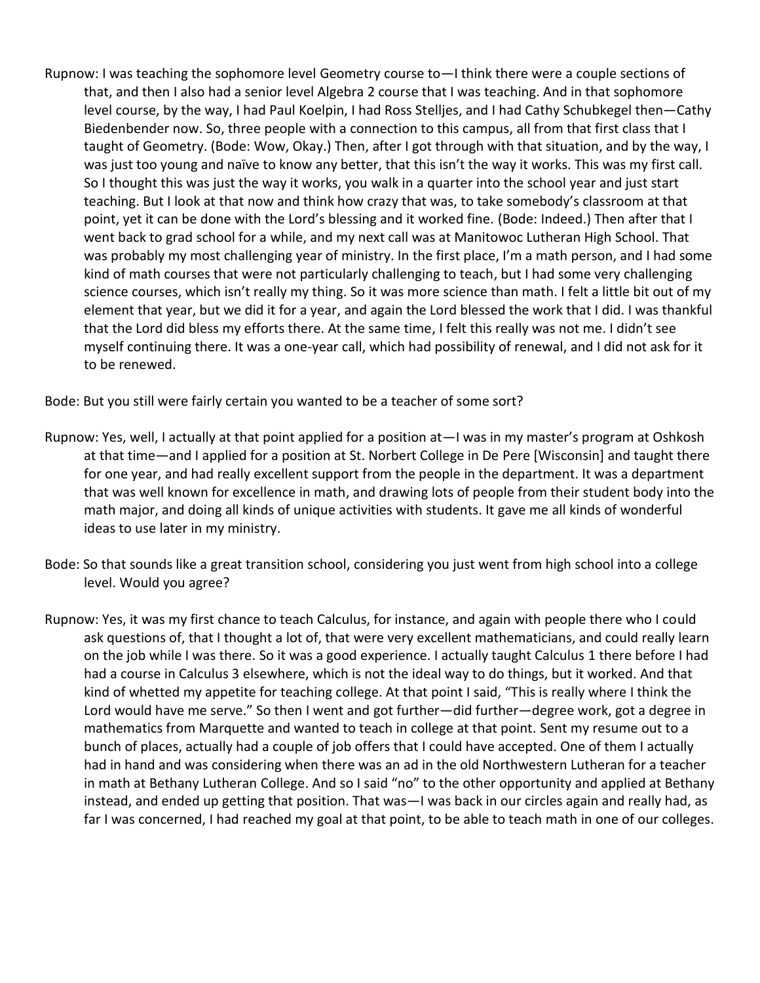Rupnow: I was teaching the sophomore level Geometry course to—I think there were a couple sections of that, and then I also had a senior level Algebra 2 course that I was teaching. And in that sophomore level course, by the way, I had Paul Koelpin, I had Ross Stelljes, and I had Cathy Schubkegel then—Cathy Biedenbender now. So, three people with a connection to this campus, all from that first class that I taught of Geometry. (Bode: Wow, Okay.) Then, after I got through with that situation, and by the way, I was just too young and naïve to know any better, that this isn't the way it works. This was my first call. So I thought this was just the way it works, you walk in a quarter into the school year and just start teaching. But I look at that now and think how crazy that was, to take somebody's classroom at that point, yet it can be done with the Lord's blessing and it worked fine. (Bode: Indeed.) Then after that I went back to grad school for a while, and my next call was at Manitowoc Lutheran High School. That was probably my most challenging year of ministry. In the first place, I'm a math person, and I had some kind of math courses that were not particularly challenging to teach, but I had some very challenging science courses, which isn't really my thing. So it was more science than math. I felt a little bit out of my element that year, but we did it for a year, and again the Lord blessed the work that I did. I was thankful that the Lord did bless my efforts there. At the same time, I felt this really was not me. I didn't see myself continuing there. It was a one-year call, which had possibility of renewal, and I did not ask for it to be renewed.

Bode: But you still were fairly certain you wanted to be a teacher of some sort?

- Rupnow: Yes, well, I actually at that point applied for a position at—I was in my master's program at Oshkosh at that time—and I applied for a position at St. Norbert College in De Pere [Wisconsin] and taught there for one year, and had really excellent support from the people in the department. It was a department that was well known for excellence in math, and drawing lots of people from their student body into the math major, and doing all kinds of unique activities with students. It gave me all kinds of wonderful ideas to use later in my ministry.
- Bode: So that sounds like a great transition school, considering you just went from high school into a college level. Would you agree?
- Rupnow: Yes, it was my first chance to teach Calculus, for instance, and again with people there who I could ask questions of, that I thought a lot of, that were very excellent mathematicians, and could really learn on the job while I was there. So it was a good experience. I actually taught Calculus 1 there before I had had a course in Calculus 3 elsewhere, which is not the ideal way to do things, but it worked. And that kind of whetted my appetite for teaching college. At that point I said, "This is really where I think the Lord would have me serve." So then I went and got further—did further—degree work, got a degree in mathematics from Marquette and wanted to teach in college at that point. Sent my resume out to a bunch of places, actually had a couple of job offers that I could have accepted. One of them I actually had in hand and was considering when there was an ad in the old Northwestern Lutheran for a teacher in math at Bethany Lutheran College. And so I said "no" to the other opportunity and applied at Bethany instead, and ended up getting that position. That was—I was back in our circles again and really had, as far I was concerned, I had reached my goal at that point, to be able to teach math in one of our colleges.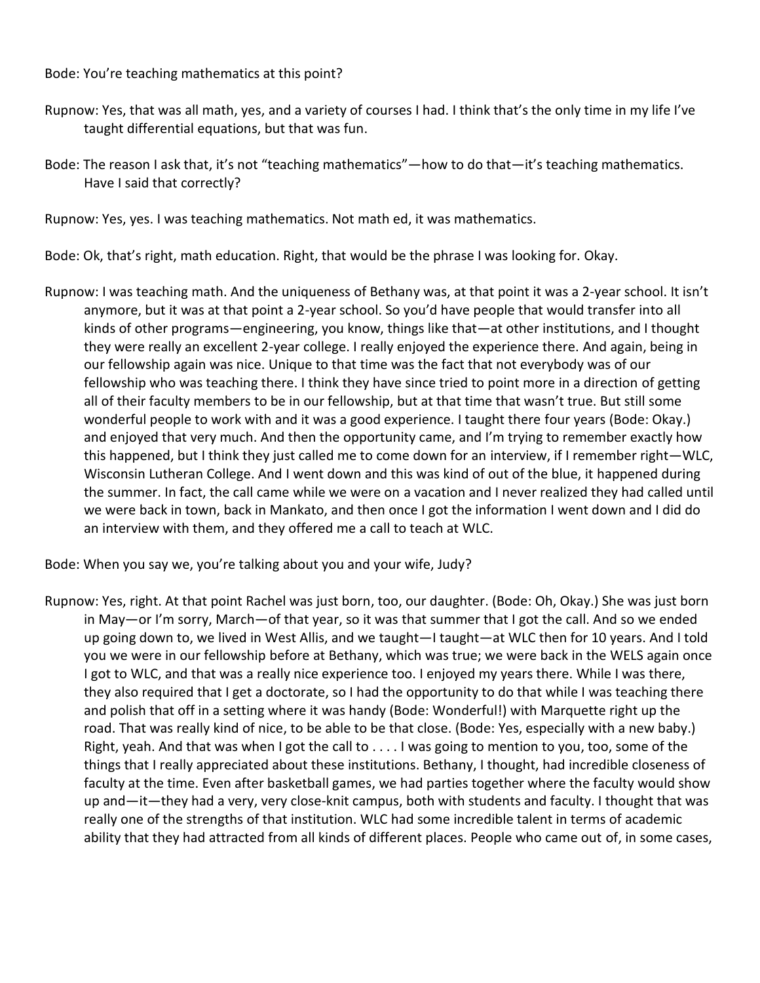Bode: You're teaching mathematics at this point?

- Rupnow: Yes, that was all math, yes, and a variety of courses I had. I think that's the only time in my life I've taught differential equations, but that was fun.
- Bode: The reason I ask that, it's not "teaching mathematics"—how to do that—it's teaching mathematics. Have I said that correctly?

Rupnow: Yes, yes. I was teaching mathematics. Not math ed, it was mathematics.

Bode: Ok, that's right, math education. Right, that would be the phrase I was looking for. Okay.

Rupnow: I was teaching math. And the uniqueness of Bethany was, at that point it was a 2-year school. It isn't anymore, but it was at that point a 2-year school. So you'd have people that would transfer into all kinds of other programs—engineering, you know, things like that—at other institutions, and I thought they were really an excellent 2-year college. I really enjoyed the experience there. And again, being in our fellowship again was nice. Unique to that time was the fact that not everybody was of our fellowship who was teaching there. I think they have since tried to point more in a direction of getting all of their faculty members to be in our fellowship, but at that time that wasn't true. But still some wonderful people to work with and it was a good experience. I taught there four years (Bode: Okay.) and enjoyed that very much. And then the opportunity came, and I'm trying to remember exactly how this happened, but I think they just called me to come down for an interview, if I remember right—WLC, Wisconsin Lutheran College. And I went down and this was kind of out of the blue, it happened during the summer. In fact, the call came while we were on a vacation and I never realized they had called until we were back in town, back in Mankato, and then once I got the information I went down and I did do an interview with them, and they offered me a call to teach at WLC.

Bode: When you say we, you're talking about you and your wife, Judy?

Rupnow: Yes, right. At that point Rachel was just born, too, our daughter. (Bode: Oh, Okay.) She was just born in May—or I'm sorry, March—of that year, so it was that summer that I got the call. And so we ended up going down to, we lived in West Allis, and we taught—I taught—at WLC then for 10 years. And I told you we were in our fellowship before at Bethany, which was true; we were back in the WELS again once I got to WLC, and that was a really nice experience too. I enjoyed my years there. While I was there, they also required that I get a doctorate, so I had the opportunity to do that while I was teaching there and polish that off in a setting where it was handy (Bode: Wonderful!) with Marquette right up the road. That was really kind of nice, to be able to be that close. (Bode: Yes, especially with a new baby.) Right, yeah. And that was when I got the call to . . . . I was going to mention to you, too, some of the things that I really appreciated about these institutions. Bethany, I thought, had incredible closeness of faculty at the time. Even after basketball games, we had parties together where the faculty would show up and—it—they had a very, very close-knit campus, both with students and faculty. I thought that was really one of the strengths of that institution. WLC had some incredible talent in terms of academic ability that they had attracted from all kinds of different places. People who came out of, in some cases,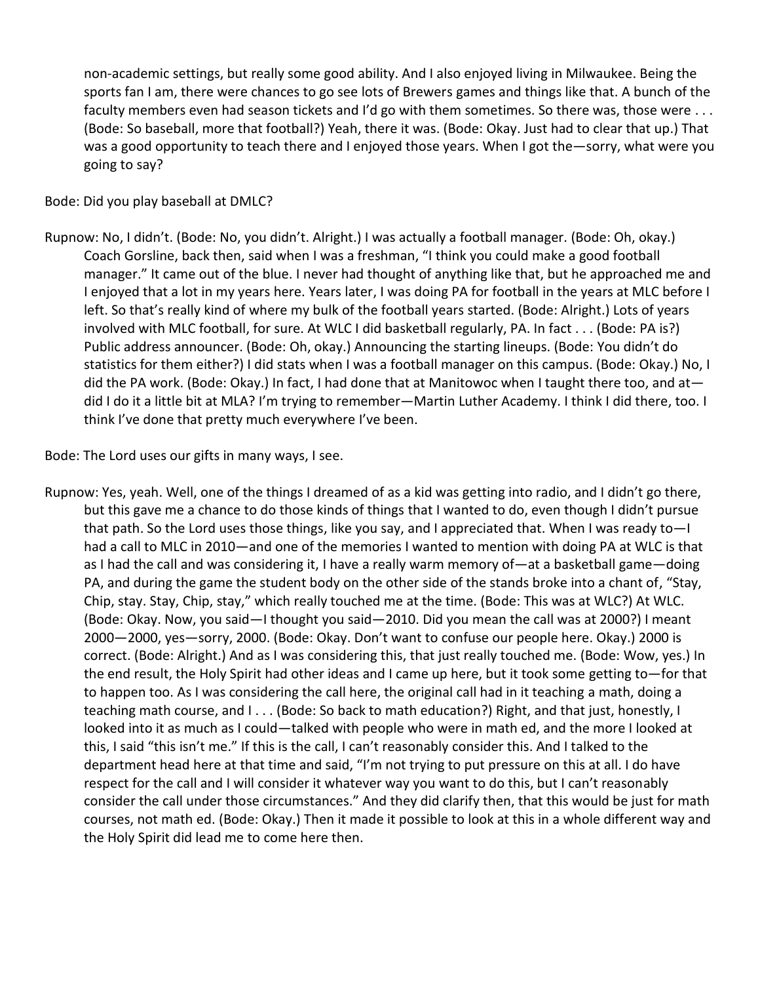non-academic settings, but really some good ability. And I also enjoyed living in Milwaukee. Being the sports fan I am, there were chances to go see lots of Brewers games and things like that. A bunch of the faculty members even had season tickets and I'd go with them sometimes. So there was, those were . . . (Bode: So baseball, more that football?) Yeah, there it was. (Bode: Okay. Just had to clear that up.) That was a good opportunity to teach there and I enjoyed those years. When I got the—sorry, what were you going to say?

Bode: Did you play baseball at DMLC?

Rupnow: No, I didn't. (Bode: No, you didn't. Alright.) I was actually a football manager. (Bode: Oh, okay.) Coach Gorsline, back then, said when I was a freshman, "I think you could make a good football manager." It came out of the blue. I never had thought of anything like that, but he approached me and I enjoyed that a lot in my years here. Years later, I was doing PA for football in the years at MLC before I left. So that's really kind of where my bulk of the football years started. (Bode: Alright.) Lots of years involved with MLC football, for sure. At WLC I did basketball regularly, PA. In fact . . . (Bode: PA is?) Public address announcer. (Bode: Oh, okay.) Announcing the starting lineups. (Bode: You didn't do statistics for them either?) I did stats when I was a football manager on this campus. (Bode: Okay.) No, I did the PA work. (Bode: Okay.) In fact, I had done that at Manitowoc when I taught there too, and at did I do it a little bit at MLA? I'm trying to remember—Martin Luther Academy. I think I did there, too. I think I've done that pretty much everywhere I've been.

Bode: The Lord uses our gifts in many ways, I see.

Rupnow: Yes, yeah. Well, one of the things I dreamed of as a kid was getting into radio, and I didn't go there, but this gave me a chance to do those kinds of things that I wanted to do, even though I didn't pursue that path. So the Lord uses those things, like you say, and I appreciated that. When I was ready to—I had a call to MLC in 2010—and one of the memories I wanted to mention with doing PA at WLC is that as I had the call and was considering it, I have a really warm memory of—at a basketball game—doing PA, and during the game the student body on the other side of the stands broke into a chant of, "Stay, Chip, stay. Stay, Chip, stay," which really touched me at the time. (Bode: This was at WLC?) At WLC. (Bode: Okay. Now, you said—I thought you said—2010. Did you mean the call was at 2000?) I meant 2000—2000, yes—sorry, 2000. (Bode: Okay. Don't want to confuse our people here. Okay.) 2000 is correct. (Bode: Alright.) And as I was considering this, that just really touched me. (Bode: Wow, yes.) In the end result, the Holy Spirit had other ideas and I came up here, but it took some getting to—for that to happen too. As I was considering the call here, the original call had in it teaching a math, doing a teaching math course, and I . . . (Bode: So back to math education?) Right, and that just, honestly, I looked into it as much as I could—talked with people who were in math ed, and the more I looked at this, I said "this isn't me." If this is the call, I can't reasonably consider this. And I talked to the department head here at that time and said, "I'm not trying to put pressure on this at all. I do have respect for the call and I will consider it whatever way you want to do this, but I can't reasonably consider the call under those circumstances." And they did clarify then, that this would be just for math courses, not math ed. (Bode: Okay.) Then it made it possible to look at this in a whole different way and the Holy Spirit did lead me to come here then.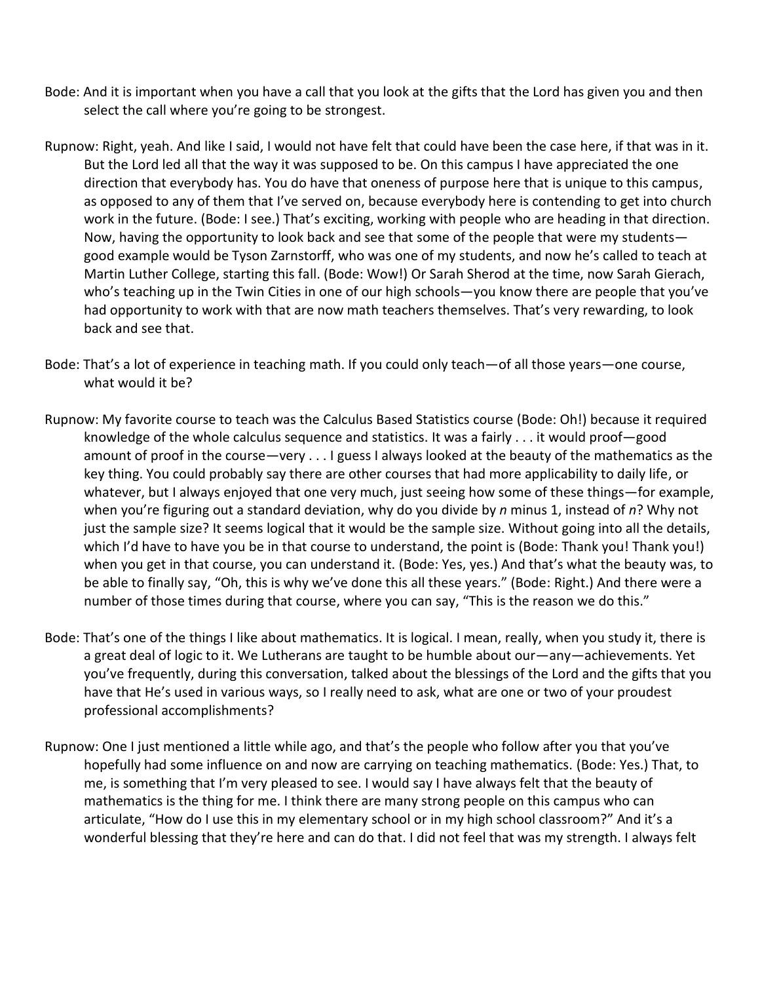- Bode: And it is important when you have a call that you look at the gifts that the Lord has given you and then select the call where you're going to be strongest.
- Rupnow: Right, yeah. And like I said, I would not have felt that could have been the case here, if that was in it. But the Lord led all that the way it was supposed to be. On this campus I have appreciated the one direction that everybody has. You do have that oneness of purpose here that is unique to this campus, as opposed to any of them that I've served on, because everybody here is contending to get into church work in the future. (Bode: I see.) That's exciting, working with people who are heading in that direction. Now, having the opportunity to look back and see that some of the people that were my students good example would be Tyson Zarnstorff, who was one of my students, and now he's called to teach at Martin Luther College, starting this fall. (Bode: Wow!) Or Sarah Sherod at the time, now Sarah Gierach, who's teaching up in the Twin Cities in one of our high schools—you know there are people that you've had opportunity to work with that are now math teachers themselves. That's very rewarding, to look back and see that.
- Bode: That's a lot of experience in teaching math. If you could only teach—of all those years—one course, what would it be?
- Rupnow: My favorite course to teach was the Calculus Based Statistics course (Bode: Oh!) because it required knowledge of the whole calculus sequence and statistics. It was a fairly . . . it would proof—good amount of proof in the course—very . . . I guess I always looked at the beauty of the mathematics as the key thing. You could probably say there are other courses that had more applicability to daily life, or whatever, but I always enjoyed that one very much, just seeing how some of these things—for example, when you're figuring out a standard deviation, why do you divide by *n* minus 1, instead of *n*? Why not just the sample size? It seems logical that it would be the sample size. Without going into all the details, which I'd have to have you be in that course to understand, the point is (Bode: Thank you! Thank you!) when you get in that course, you can understand it. (Bode: Yes, yes.) And that's what the beauty was, to be able to finally say, "Oh, this is why we've done this all these years." (Bode: Right.) And there were a number of those times during that course, where you can say, "This is the reason we do this."
- Bode: That's one of the things I like about mathematics. It is logical. I mean, really, when you study it, there is a great deal of logic to it. We Lutherans are taught to be humble about our—any—achievements. Yet you've frequently, during this conversation, talked about the blessings of the Lord and the gifts that you have that He's used in various ways, so I really need to ask, what are one or two of your proudest professional accomplishments?
- Rupnow: One I just mentioned a little while ago, and that's the people who follow after you that you've hopefully had some influence on and now are carrying on teaching mathematics. (Bode: Yes.) That, to me, is something that I'm very pleased to see. I would say I have always felt that the beauty of mathematics is the thing for me. I think there are many strong people on this campus who can articulate, "How do I use this in my elementary school or in my high school classroom?" And it's a wonderful blessing that they're here and can do that. I did not feel that was my strength. I always felt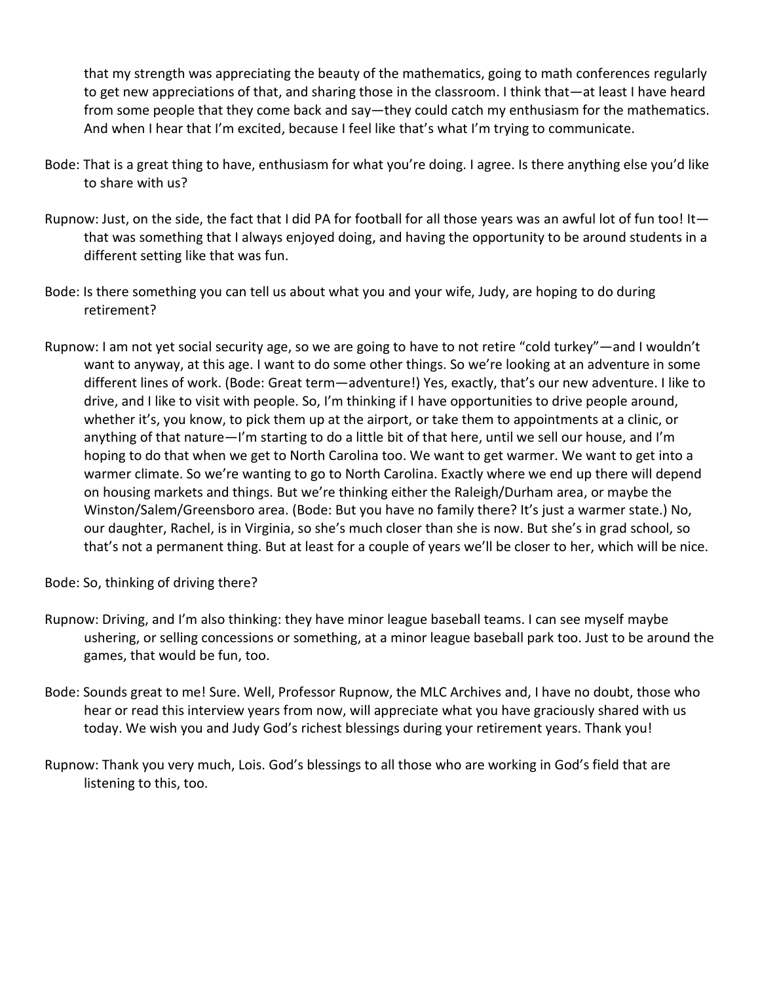that my strength was appreciating the beauty of the mathematics, going to math conferences regularly to get new appreciations of that, and sharing those in the classroom. I think that—at least I have heard from some people that they come back and say—they could catch my enthusiasm for the mathematics. And when I hear that I'm excited, because I feel like that's what I'm trying to communicate.

- Bode: That is a great thing to have, enthusiasm for what you're doing. I agree. Is there anything else you'd like to share with us?
- Rupnow: Just, on the side, the fact that I did PA for football for all those years was an awful lot of fun too! It that was something that I always enjoyed doing, and having the opportunity to be around students in a different setting like that was fun.
- Bode: Is there something you can tell us about what you and your wife, Judy, are hoping to do during retirement?
- Rupnow: I am not yet social security age, so we are going to have to not retire "cold turkey"—and I wouldn't want to anyway, at this age. I want to do some other things. So we're looking at an adventure in some different lines of work. (Bode: Great term—adventure!) Yes, exactly, that's our new adventure. I like to drive, and I like to visit with people. So, I'm thinking if I have opportunities to drive people around, whether it's, you know, to pick them up at the airport, or take them to appointments at a clinic, or anything of that nature—I'm starting to do a little bit of that here, until we sell our house, and I'm hoping to do that when we get to North Carolina too. We want to get warmer. We want to get into a warmer climate. So we're wanting to go to North Carolina. Exactly where we end up there will depend on housing markets and things. But we're thinking either the Raleigh/Durham area, or maybe the Winston/Salem/Greensboro area. (Bode: But you have no family there? It's just a warmer state.) No, our daughter, Rachel, is in Virginia, so she's much closer than she is now. But she's in grad school, so that's not a permanent thing. But at least for a couple of years we'll be closer to her, which will be nice.

Bode: So, thinking of driving there?

- Rupnow: Driving, and I'm also thinking: they have minor league baseball teams. I can see myself maybe ushering, or selling concessions or something, at a minor league baseball park too. Just to be around the games, that would be fun, too.
- Bode: Sounds great to me! Sure. Well, Professor Rupnow, the MLC Archives and, I have no doubt, those who hear or read this interview years from now, will appreciate what you have graciously shared with us today. We wish you and Judy God's richest blessings during your retirement years. Thank you!
- Rupnow: Thank you very much, Lois. God's blessings to all those who are working in God's field that are listening to this, too.